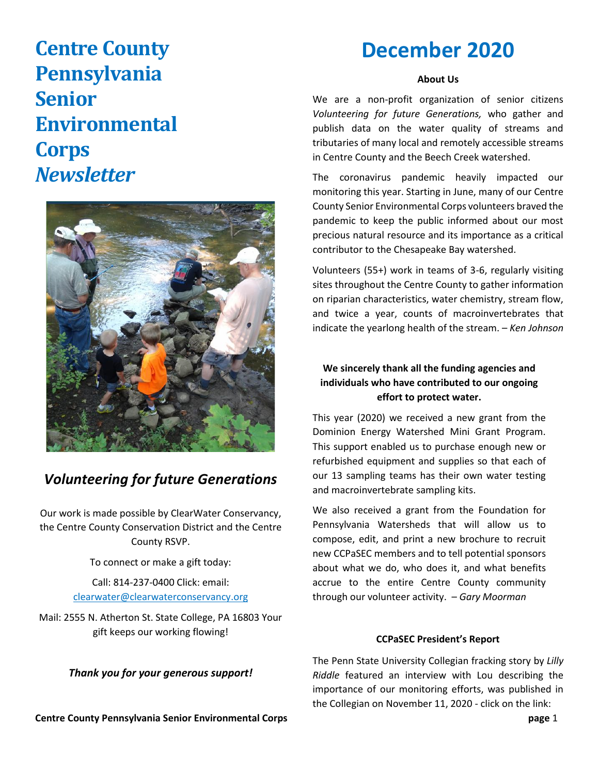# **Centre County Pennsylvania Senior Environmental Corps**  *Newsletter*



# *Volunteering for future Generations*

Our work is made possible by ClearWater Conservancy, the Centre County Conservation District and the Centre County RSVP.

> To connect or make a gift today: Call: 814-237-0400 Click: email: [clearwater@clearwaterconservancy.org](mailto:clearwater@clearwaterconservancy.org)

Mail: 2555 N. Atherton St. State College, PA 16803 Your gift keeps our working flowing!

*Thank you for your generous support!*

# **December 2020**

#### **About Us**

We are a non-profit organization of senior citizens *Volunteering for future Generations,* who gather and publish data on the water quality of streams and tributaries of many local and remotely accessible streams in Centre County and the Beech Creek watershed.

The coronavirus pandemic heavily impacted our monitoring this year. Starting in June, many of our Centre County Senior Environmental Corps volunteers braved the pandemic to keep the public informed about our most precious natural resource and its importance as a critical contributor to the Chesapeake Bay watershed.

Volunteers (55+) work in teams of 3-6, regularly visiting sites throughout the Centre County to gather information on riparian characteristics, water chemistry, stream flow, and twice a year, counts of macroinvertebrates that indicate the yearlong health of the stream. – *Ken Johnson*

# **We sincerely thank all the funding agencies and individuals who have contributed to our ongoing effort to protect water.**

This year (2020) we received a new grant from the Dominion Energy Watershed Mini Grant Program. This support enabled us to purchase enough new or refurbished equipment and supplies so that each of our 13 sampling teams has their own water testing and macroinvertebrate sampling kits.

We also received a grant from the Foundation for Pennsylvania Watersheds that will allow us to compose, edit, and print a new brochure to recruit new CCPaSEC members and to tell potential sponsors about what we do, who does it, and what benefits accrue to the entire Centre County community through our volunteer activity. – *Gary Moorman* 

## **CCPaSEC President's Report**

The Penn State University Collegian fracking story by *Lilly Riddle* featured an interview with Lou describing the importance of our monitoring efforts, was published in the Collegian on November 11, 2020 - click on the link:

**Centre County Pennsylvania Senior Environmental Corps page** 1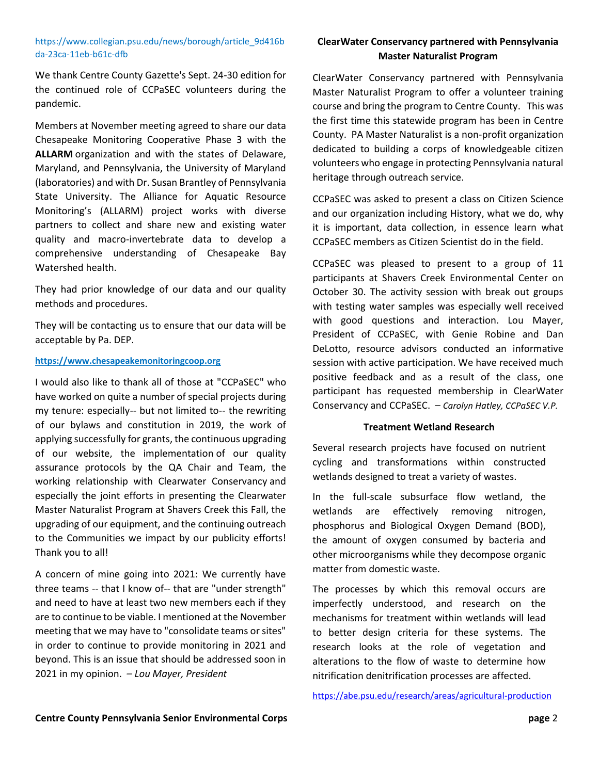#### [https://www.collegian.psu.edu/news/borough/article\\_9d416b](https://www.collegian.psu.edu/news/borough/article_9d416bda-23ca-11eb-b61c-dfb6bee2e0c6.html) [da-23ca-11eb-b61c-dfb](https://www.collegian.psu.edu/news/borough/article_9d416bda-23ca-11eb-b61c-dfb6bee2e0c6.html)

We thank Centre County Gazette's Sept. 24-30 edition for the continued role of CCPaSEC volunteers during the pandemic.

Members at November meeting agreed to share our data Chesapeake Monitoring Cooperative Phase 3 with the **ALLARM** organization and with the states of Delaware, Maryland, and Pennsylvania, the University of Maryland (laboratories) and with Dr. Susan Brantley of Pennsylvania State University. The Alliance for Aquatic Resource Monitoring's (ALLARM) project works with diverse partners to collect and share new and existing water quality and macro-invertebrate data to develop a comprehensive understanding of Chesapeake Bay Watershed health.

They had prior knowledge of our data and our quality methods and procedures.

They will be contacting us to ensure that our data will be acceptable by Pa. DEP.

#### **[https://www.chesapeakemonitoringcoop.org](https://www.chesapeakemonitoringcoop.org/)**

I would also like to thank all of those at "CCPaSEC" who have worked on quite a number of special projects during my tenure: especially-- but not limited to-- the rewriting of our bylaws and constitution in 2019, the work of applying successfully for grants, the continuous upgrading of our website, the implementation of our quality assurance protocols by the QA Chair and Team, the working relationship with Clearwater Conservancy and especially the joint efforts in presenting the Clearwater Master Naturalist Program at Shavers Creek this Fall, the upgrading of our equipment, and the continuing outreach to the Communities we impact by our publicity efforts! Thank you to all!

A concern of mine going into 2021: We currently have three teams -- that I know of-- that are "under strength" and need to have at least two new members each if they are to continue to be viable. I mentioned at the November meeting that we may have to "consolidate teams or sites" in order to continue to provide monitoring in 2021 and beyond. This is an issue that should be addressed soon in 2021 in my opinion. *– Lou Mayer, President* 

# **ClearWater Conservancy partnered with Pennsylvania Master Naturalist Program**

ClearWater Conservancy partnered with Pennsylvania Master Naturalist Program to offer a volunteer training course and bring the program to Centre County. This was the first time this statewide program has been in Centre County. PA Master Naturalist is a non-profit organization dedicated to building a corps of knowledgeable citizen volunteers who engage in protecting Pennsylvania natural heritage through outreach service.

CCPaSEC was asked to present a class on Citizen Science and our organization including History, what we do, why it is important, data collection, in essence learn what CCPaSEC members as Citizen Scientist do in the field.

CCPaSEC was pleased to present to a group of 11 participants at Shavers Creek Environmental Center on October 30. The activity session with break out groups with testing water samples was especially well received with good questions and interaction. Lou Mayer, President of CCPaSEC, with Genie Robine and Dan DeLotto, resource advisors conducted an informative session with active participation. We have received much positive feedback and as a result of the class, one participant has requested membership in ClearWater Conservancy and CCPaSEC. – *Carolyn Hatley, CCPaSEC V.P.*

#### **Treatment Wetland Research**

Several research projects have focused on nutrient cycling and transformations within constructed wetlands designed to treat a variety of wastes.

In the full-scale subsurface flow wetland, the wetlands are effectively removing nitrogen, phosphorus and Biological Oxygen Demand (BOD), the amount of oxygen consumed by bacteria and other microorganisms while they decompose organic matter from domestic waste.

The processes by which this removal occurs are imperfectly understood, and research on the mechanisms for treatment within wetlands will lead to better design criteria for these systems. The research looks at the role of vegetation and alterations to the flow of waste to determine how nitrification denitrification processes are affected.

<https://abe.psu.edu/research/areas/agricultural-production>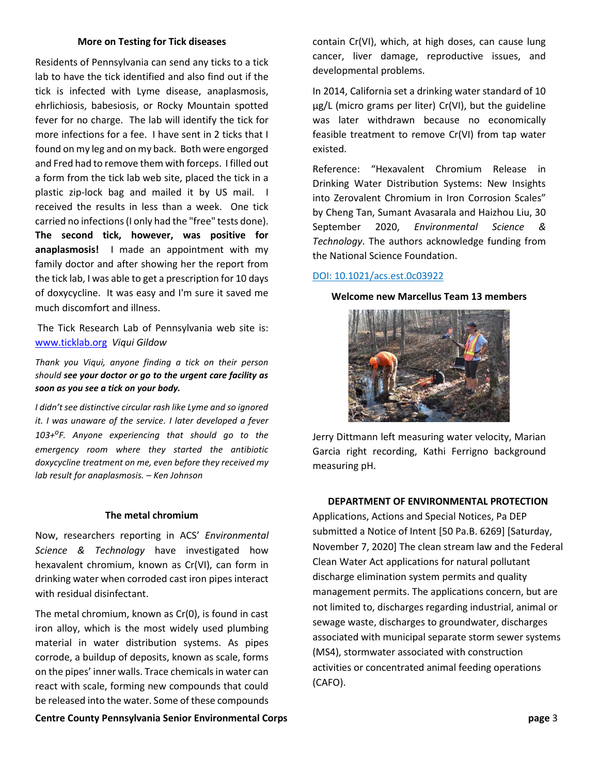#### **More on Testing for Tick diseases**

Residents of Pennsylvania can send any ticks to a tick lab to have the tick identified and also find out if the tick is infected with Lyme disease, anaplasmosis, ehrlichiosis, babesiosis, or Rocky Mountain spotted fever for no charge. The lab will identify the tick for more infections for a fee. I have sent in 2 ticks that I found on my leg and on my back. Both were engorged and Fred had to remove them with forceps. I filled out a form from the tick lab web site, placed the tick in a plastic zip-lock bag and mailed it by US mail. I received the results in less than a week. One tick carried no infections (I only had the "free" tests done). **The second tick, however, was positive for anaplasmosis!** I made an appointment with my family doctor and after showing her the report from the tick lab, I was able to get a prescription for 10 days of doxycycline. It was easy and I'm sure it saved me much discomfort and illness.

The Tick Research Lab of Pennsylvania web site is: [www.ticklab.org](http://www.ticklab.org/) *Viqui Gildow*

*Thank you Viqui, anyone finding a tick on their person should see your doctor or go to the urgent care facility as soon as you see a tick on your body.*

*I didn't see distinctive circular rash like Lyme and so ignored it. I was unaware of the service. I later developed a fever 103+ o F. Anyone experiencing that should go to the emergency room where they started the antibiotic doxycycline treatment on me, even before they received my lab result for anaplasmosis. – Ken Johnson*

#### **The metal chromium**

Now, researchers reporting in ACS' *Environmental Science & Technology* have investigated how hexavalent chromium, known as Cr(VI), can form in drinking water when corroded cast iron pipes interact with residual disinfectant.

The metal chromium, known as Cr(0), is found in cast iron alloy, which is the most widely used plumbing material in water distribution systems. As pipes corrode, a buildup of deposits, known as scale, forms on the pipes' inner walls. Trace chemicals in water can react with scale, forming new compounds that could be released into the water. Some of these compounds

**Centre County Pennsylvania Senior Environmental Corps page** 3

contain Cr(VI), which, at high doses, can cause lung cancer, liver damage, reproductive issues, and developmental problems.

In 2014, California set a drinking water standard of 10 μg/L (micro grams per liter) Cr(VI), but the guideline was later withdrawn because no economically feasible treatment to remove Cr(VI) from tap water existed.

Reference: "Hexavalent Chromium Release in Drinking Water Distribution Systems: New Insights into Zerovalent Chromium in Iron Corrosion Scales" by Cheng Tan, Sumant Avasarala and Haizhou Liu, 30 September 2020, *Environmental Science & Technology*. The authors acknowledge funding from the National Science Foundation.

#### [DOI: 10.1021/acs.est.0c03922](https://doi.org/10.1021/acs.est.0c03922)

#### **Welcome new Marcellus Team 13 members**



Jerry Dittmann left measuring water velocity, Marian Garcia right recording, Kathi Ferrigno background measuring pH.

#### **DEPARTMENT OF ENVIRONMENTAL PROTECTION**

Applications, Actions and Special Notices, Pa DEP submitted a Notice of Intent [50 Pa.B. 6269] [Saturday, November 7, 2020] The clean stream law and the Federal Clean Water Act applications for natural pollutant discharge elimination system permits and quality management permits. The applications concern, but are not limited to, discharges regarding industrial, animal or sewage waste, discharges to groundwater, discharges associated with municipal separate storm sewer systems (MS4), stormwater associated with construction activities or concentrated animal feeding operations (CAFO).